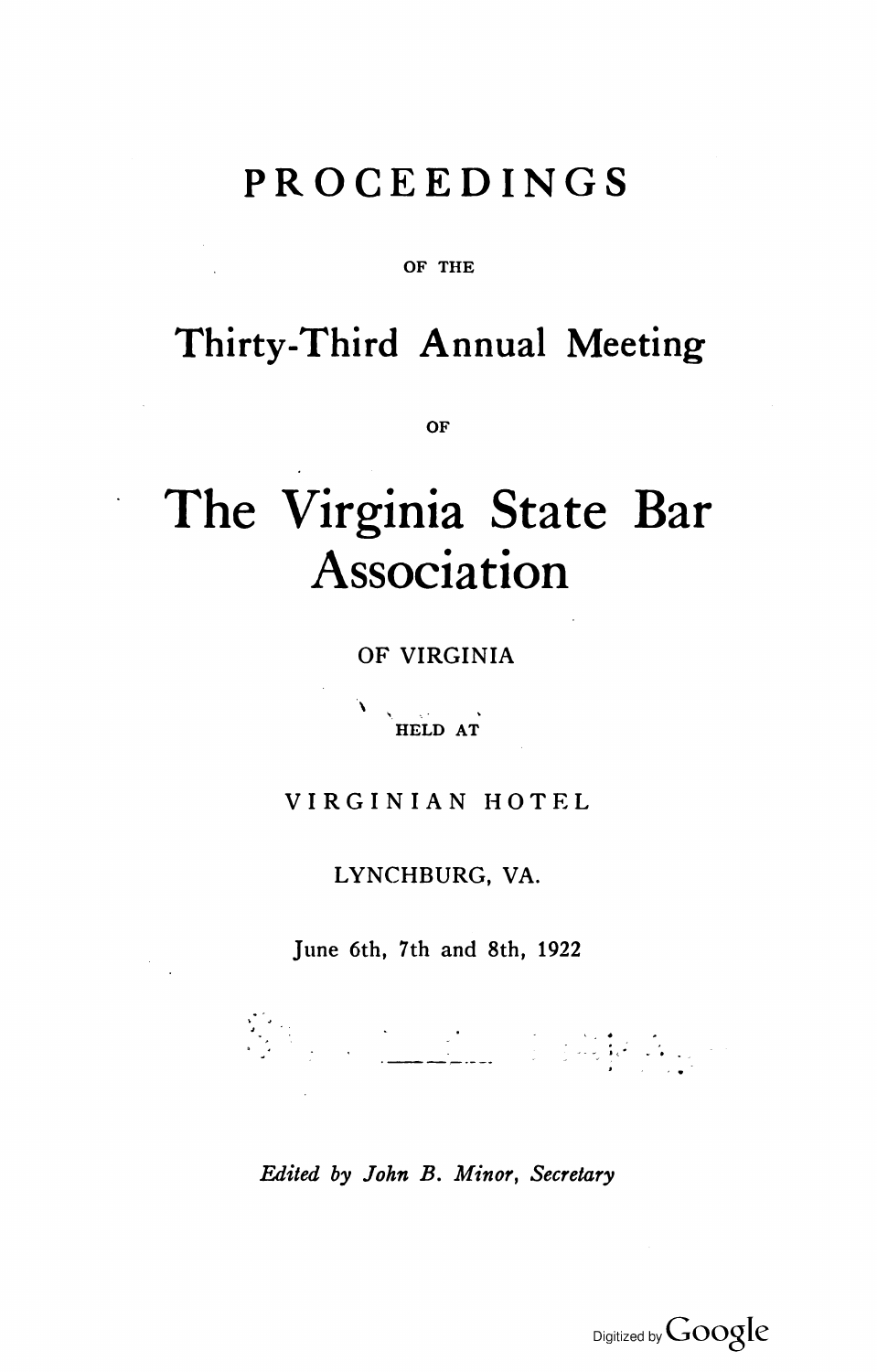## **PROCEEDINGS**

OF THE

## **Thirty-Third Annual Meeting**

**OF** 

# **The Virginia State Bar Association**

OF VIRGINIA

" HELD AT

#### VIRGINIAN HOTEL

LYNCHBURG, VA.

June 6th, 7th and 8th, 1922

.<br>1940 - John Pierre, maria eta politikoaren<br>1940 - John Pierre, margolaria eta politikoaren 1

*Edited by John B. Minor, Secretary* 

Digitized by Google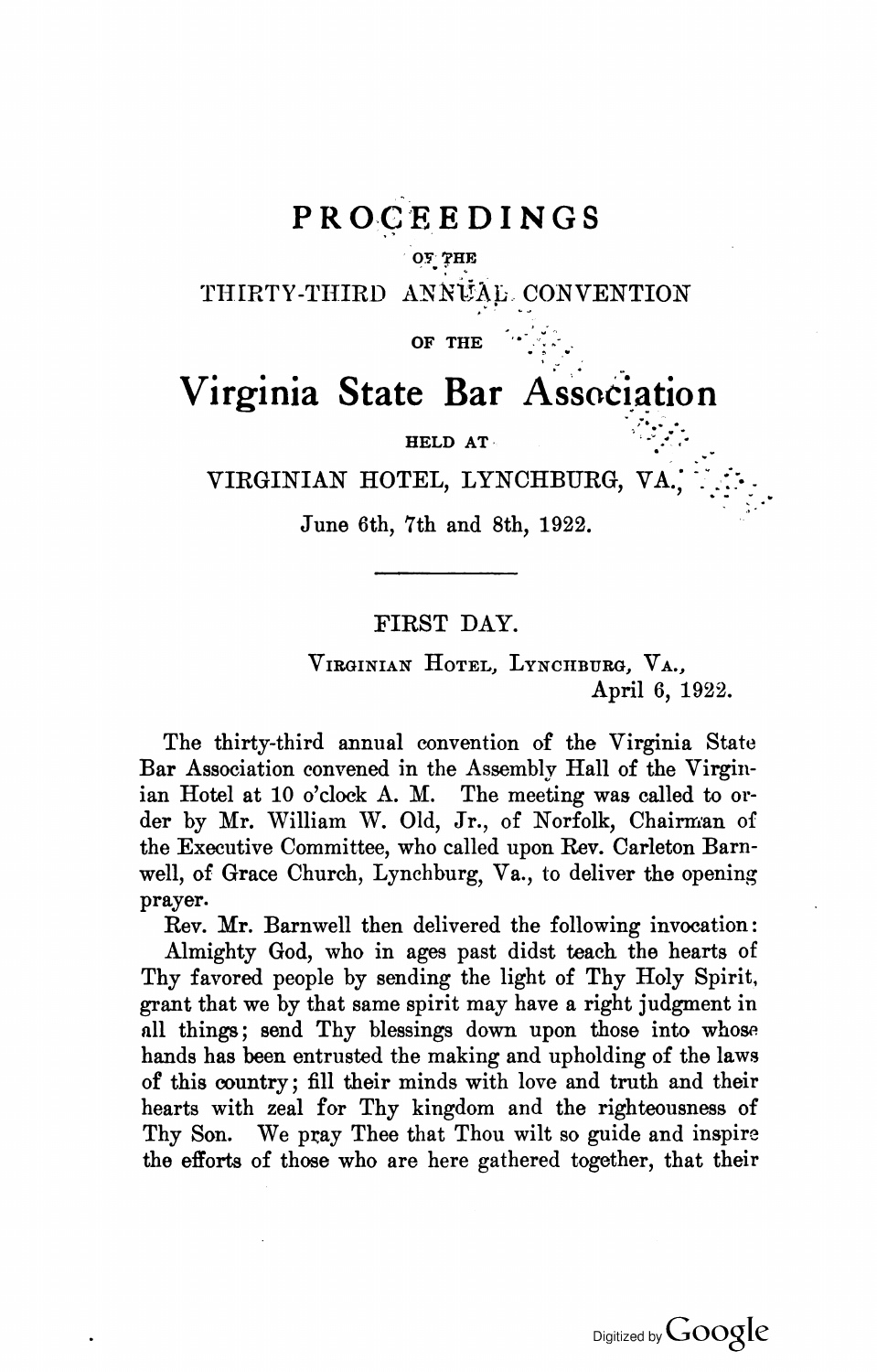### $PROCEEDINGS$

#### $O$  $T$   $THE$

THIRTY-THIRD ANNUAL CONVENTION

OF THE

## .. **Virginia State Bar Association**

HELD AT·

VIRGINIAN HOTEL, LYNCHBURG, VA<br>June 6th, 7th and 8th, 1922.

#### FIRST DAY.

VIRGINIAN HOTEL, LYNCHBURG, VA., April 6, 1922.

.. **-:, ....... -.-.**  $\mathcal{L}^{\bullet}_{\mathcal{L}}$  .

The thirty-third annual convention of the Virginia State Bar Association convened in the Assembly Hall of the Virginian Hotel at 10 o'clock A. M. The meeting was called to order by Mr. William W. Old, Jr., of Norfolk, Chairman of the Executive Committee, who called upon Rev. Carleton Barnwell, of Grace Church, Lynchburg, Va., to deliver the opening prayer.

Rev. Mr. Barnwell then delivered the following invocation: Almighty God, who in ages past didst teach the hearts of Thy favored people by sending the light of Thy Holy Spirit. grant that we by that same spirit may have a right judgment in all things; send Thy blessings down upon those into whose hands has been entrusted the making and upholding of the laws of this country; fill their minds with love and truth and their hearts with zeal for Thy kingdom and the righteousness of Thy Son. We pray Thee that Thou wilt so guide and inspire the efforts of those who are here gathered together, that their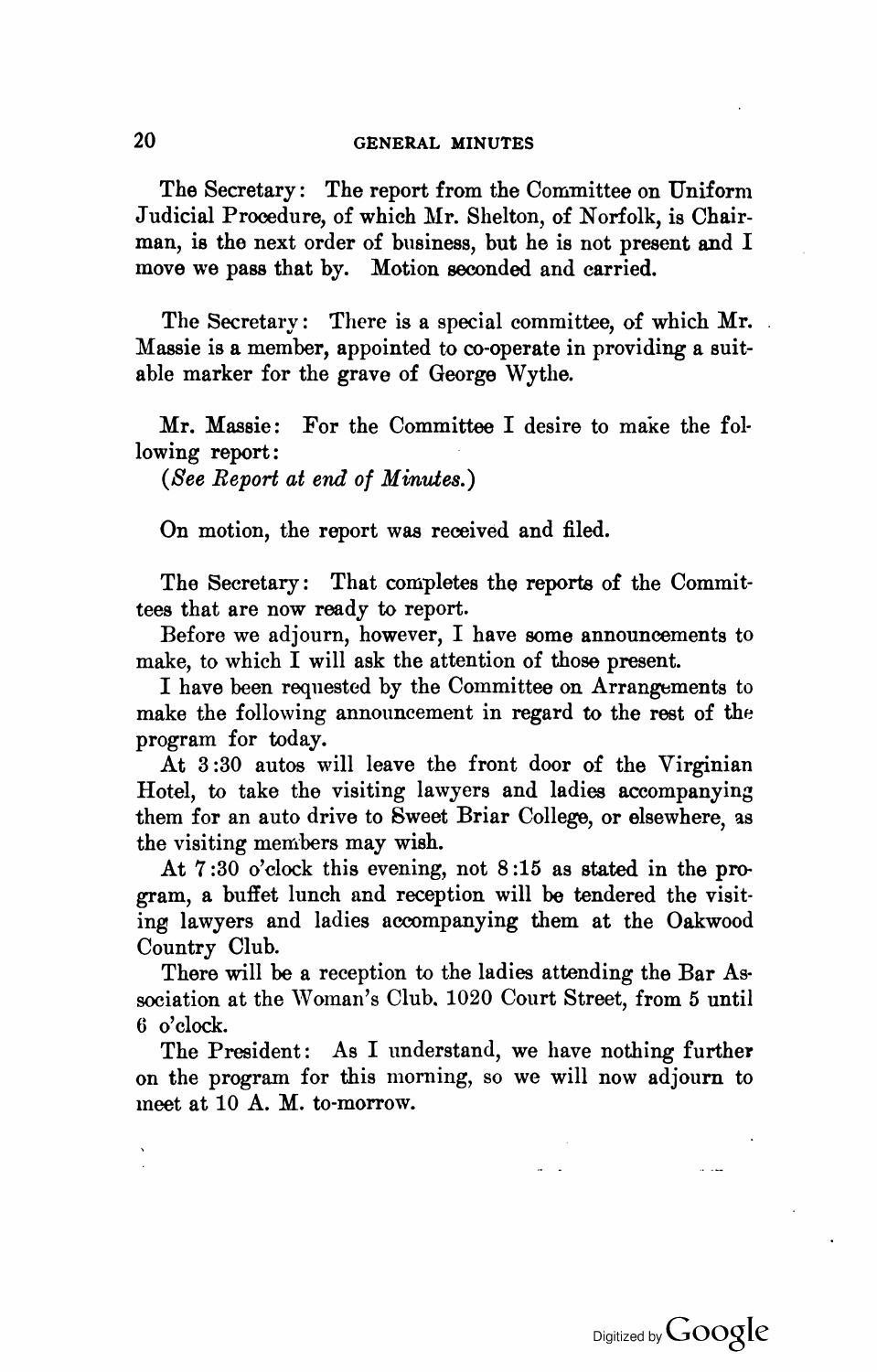#### 20 GENERAL MINUTES

The Secretary: The report from the Committee on Uniform Judicial Procedure, of which Mr. Shelton, of Norfolk, is Chairman, is the next order of business, but he is not present and I move we pass that by. Motion seconded and carried.

The Secretary: There is a special committee, of which Mr. Massie is a member, appointed to co-operate in providing a suitable marker for the grave of George Wythe.

Mr. Massie: For the Committee I desire to make the following report:

*(See Report at end of Minutes.)* 

On motion, the report was received and filed.

The Secretary: That completes the reports of the Committees that are now ready to report.

Before we adjourn, however, I have some announcements to make, to which I will ask the attention of those present.

I have been requested by the Committee on Arrangements to make the following announcement in regard to the rest of the program for today.

At 3 :30 autos will leave the front door of the Virginian Hotel, to take the visiting lawyers and ladies accompanying them for an auto drive to Sweet Briar College, or elsewhere, as the visiting members may wish.

At 7 :30 o'clock this evening, not 8 :15 as stated in the program, a buffet lunch and reception will be tendered the visiting lawyers and ladies accompanying them at the Oakwood Country Club.

There will be a reception to the ladies attending the Bar Association at the Woman's Club. 1020 Court Street, from 5 until 6 o'clock.

The President: As I understand, we have nothing further on the program for this morning, so we will now adjourn to meet at 10 A. M. to-morrow.

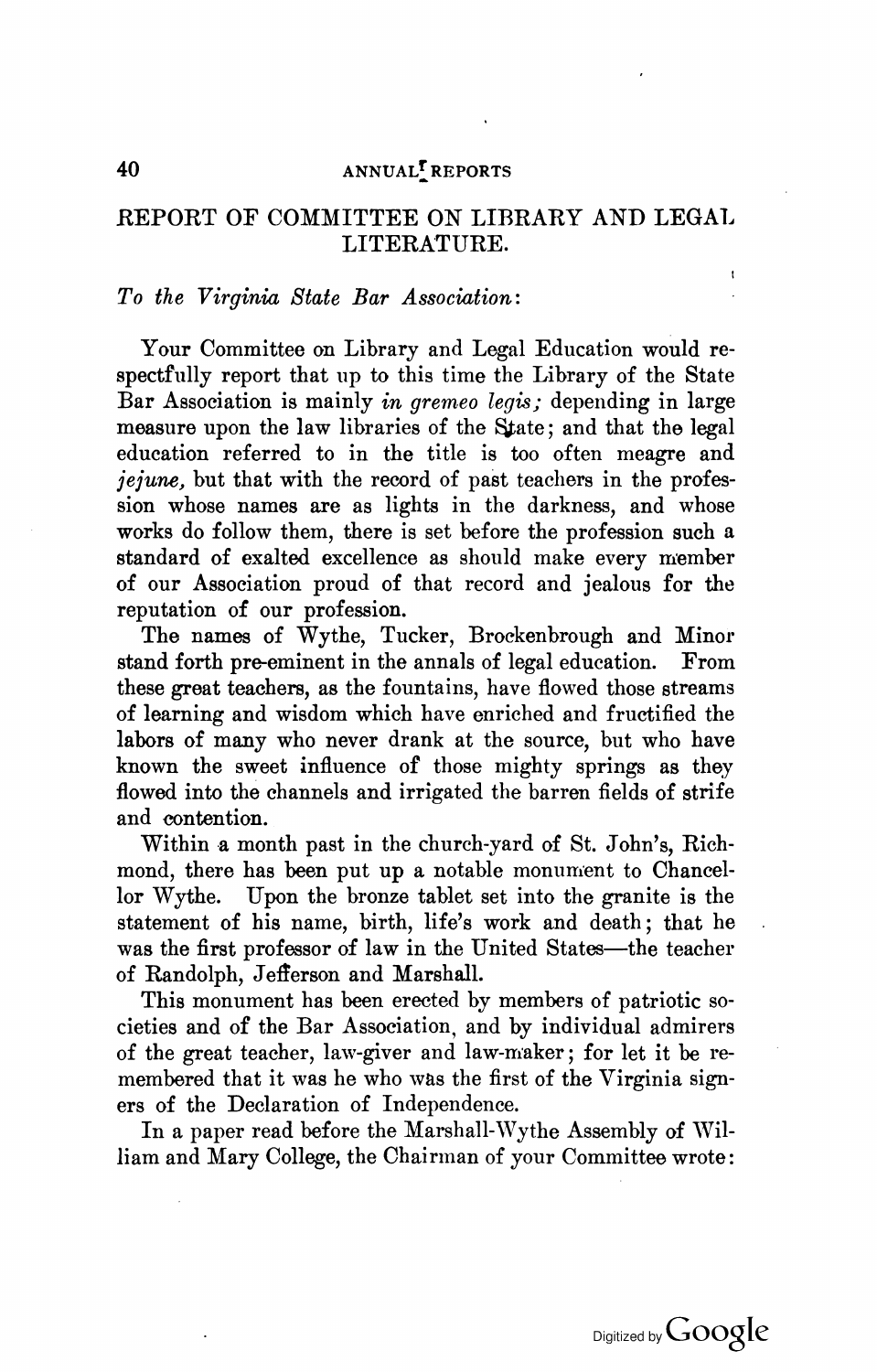#### 40 ANNUAL<sup>T</sup> REPORTS

#### REPORT OF COMMITTEE ON LIBRARY AND LEGAl. LITERATURE.

#### *To the Virginia State Bar Association:*

Your Committee on Library and Legal Education would respectfully report that up to this time the Library of the State Bar Association is mainly *in gremeo legis;* depending in large measure upon the law libraries of the State; and that the legal education referred to in the title is too often meagre and *jejune*, but that with the record of past teachers in the profession whose names are as lights in the darkness, and whose works do follow them, there is set before the profession such a standard of exalted excellence as should make every member of our Association proud of that record and jealous for the reputation of our profession.

The names of Wythe, Tucker, Brockenbrough and Minor stand forth pre-eminent in the annals of legal education. From these great teachers, as the fountains, have flowed those streams of learning and wisdom which have enriched and fructified the labors of many who never drank at the source, but who have known the sweet influence of those mighty springs as they flowed into the channels and irrigated the barren fields of strife and contention.

Within a month past in the church-yard of St. John's, Richmond, there has been put up a notable monument to Chancellor Wythe. Upon the bronze tablet set into the granite is the statement of his name, birth, life's work and death; that he was the first professor of law in the United States-the teacher of Randolph, Jefferson and Marshall.

This monument has been erected by members of patriotic societies and of the Bar Association, and by individual admirers of the great teacher, law-giver and law-maker; for let it be remembered that it was he who was the first of the Virginia signers of the Declaration of Independence.

In a paper read before the Marshall-Wythe Assembly of William and Mary College, the Chairman of your Committee wrote:

 $\overline{1}$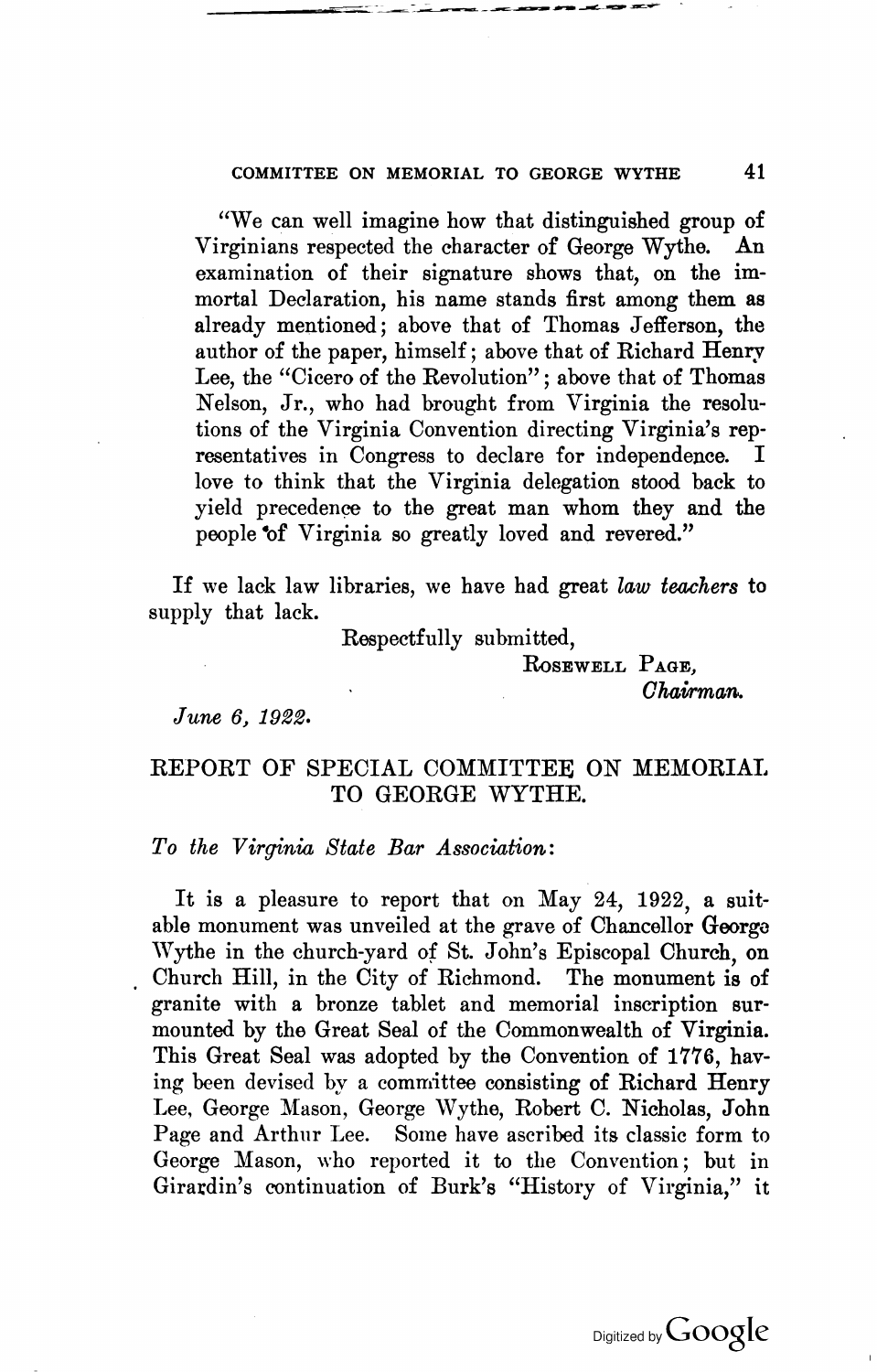#### COMMITTEE ON MEMORIAL TO GEORGE WYTHE 41

"We can well imagine how that distinguished group of Virginians respected the character of George Wythe. An examination of their signature shows that, on the immortal Declaration, his name stands first among them as already mentioned; above that of Thomas Jefferson, the author of the paper, himself; above that of Richard Henry Lee, the "Cicero of the Revolution" ; above that of Thomas Nelson, Jr., who had brought from Virginia the resolutions of the Virginia Convention directing Virginia's representatives in Congress to declare for independence. love to think that the Virginia delegation stood back to yield precedence to the great man whom they and the people of Virginia so greatly loved and revered."

If we lack law libraries, we have had great *law teachers* to supply that lack.

Respectfully submitted,

RoSEWELL PAGE,

*Ohaman..* 

*June* 6, 1922.

#### REPORT OF SPECIAL COMMITTEE ON MEMORIAl. TO GEORGE WYTHE.

*To the Virginia State Bar Association:* 

It is a pleasure to report that on May 24, 1922, a suitable monument was unveiled at the grave of Chancellor Georga Wythe in the church-yard of St. John's Episcopal Church, on Church Hill, in the City of Richmond. The monument is of granite with a bronze tablet and memorial inscription surmounted by the Great Seal of the Commonwealth of Virginia. This Great Seal was adopted by the Convention of 1776, having been devised by a committee consisting of Richard Henry Lee, George Mason, George Wythe, Robert C. Nicholas, John Page and Arthur Lee. Some have ascribed its classic form to George Mason, who reported it to the Convention; but in Giratdin's continuation of Burk'e "History of Virginia," it

Digitized by  $Google$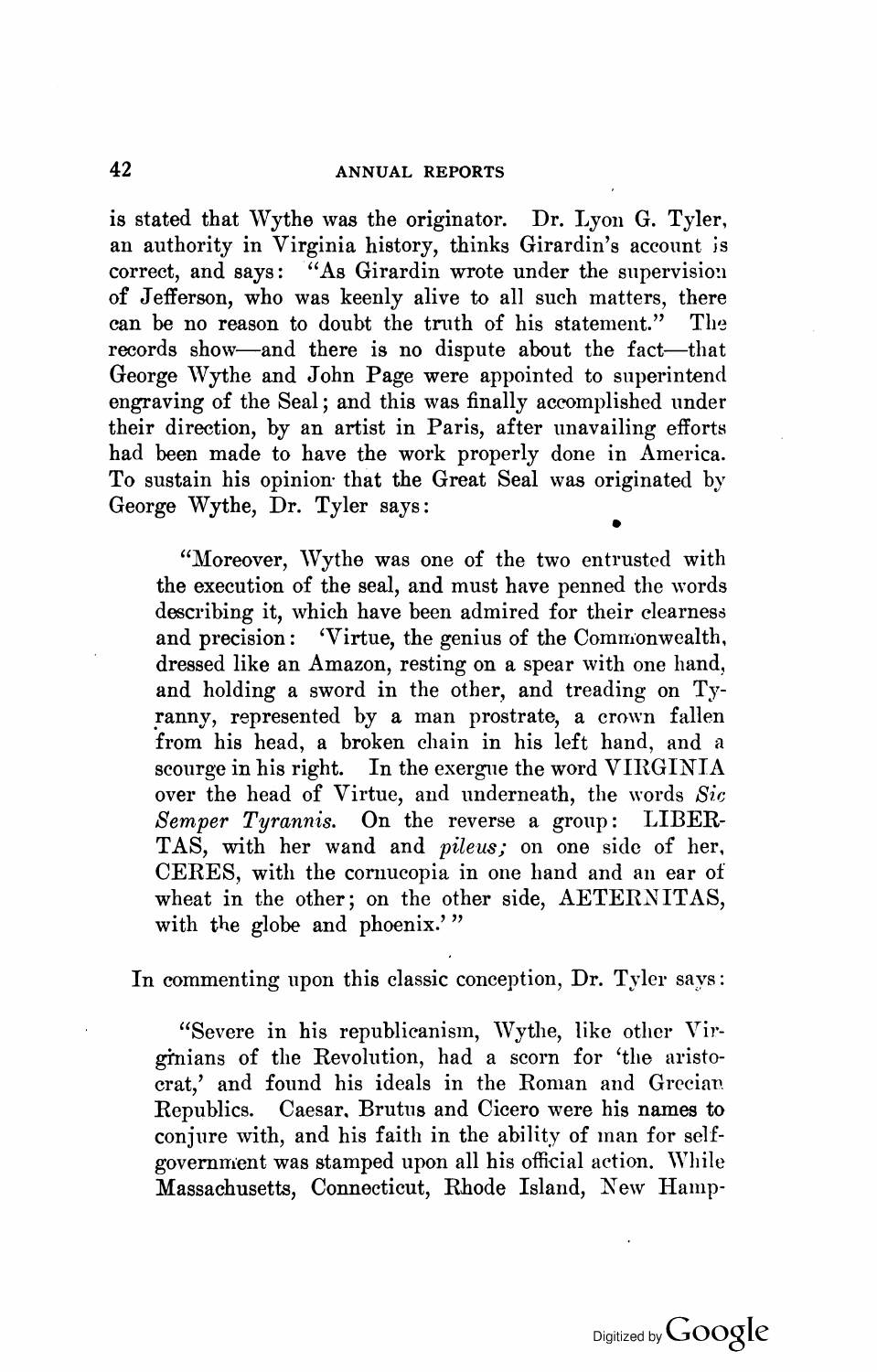is stated that Wythe was the originator. Dr. Lyon G. Tyler, an authority in Virginia history, thinks Girardin's account is correct, and says: "As Girardin wrote under the supervision of Jefferson, who was keenly alive to all such matters, there can be no reason to doubt the truth of his statement." The records show-and there is no dispute about the fact-that George Wythe and John Page were appointed to superintend engraving of the Seal; and this was finally accomplished under their direction, by an artist in Paris, after unavailing efforts had been made to have the work properly done in America. To sustain his opinion- that the Great Seal was originated by George Wythe, Dr. Tyler says: •

"Moreover, Wythe was one of the two entrusted with the execution of the seal, and must have penned the words describing it, which have been admired for their clearness and precision: 'Virtue, the genius of the Commonwealth. dressed like an Amazon, resting on a spear with one hand, and holding a sword in the other, and treading on Tyranny, represented by a man prostrate, a crown fallen from his head, a broken chain in his left hand, and a scourge in his right. In the exergue the word VIRGINIA over the head of Virtue, and underneath, the words *Sic Semper Tyrannis.* On the reverse a group: LIBER-TAS, with her wand and *pileus;* on one side of her. CERES, with the cornucopia in one hand and an ear of wheat in the other; on the other side, AETERNITAS, with the globe and phoenix.'"

In commenting upon this classic conception, Dr. Tyler says:

"Severe in his republicanism, Wythe, like other Virginians of the Revolution, had a scorn for 'the aristocrat,' and found his ideals in the Roman and Grecian Republics. Caesar. Brutus and Cicero were his names to conjure with, and his faith in the ability of man for selfgovernment was stamped upon all his official action. While Massachusetts, Connecticut, Rhode Island, New Hamp-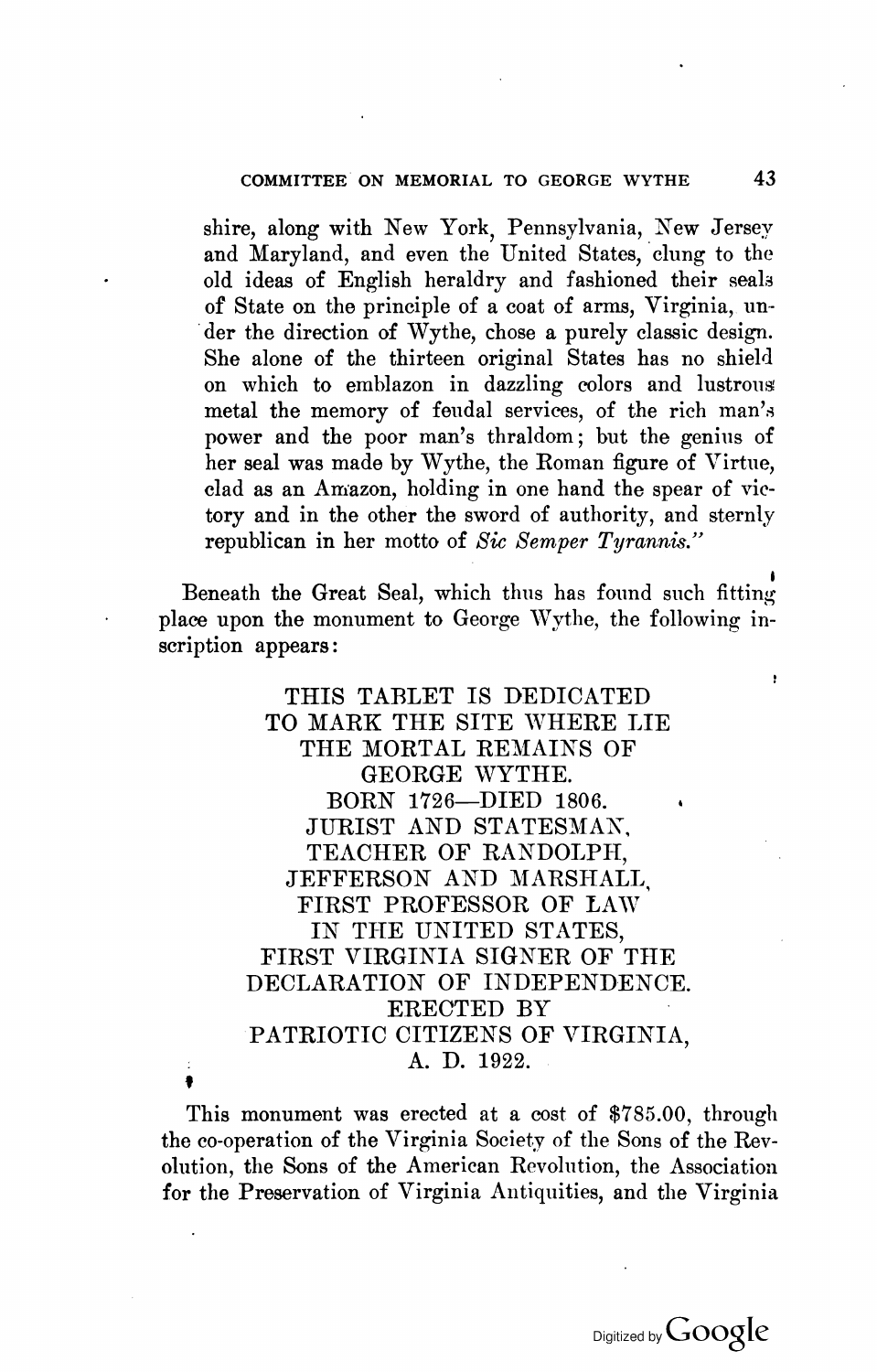#### COMMITTEE ON MEMORIAL TO GEORGE WYTHE 43

shire, along with New York, Pennsylvania, New Jersey and Maryland, and even the United States, clung to the old ideas of English heraldry and fashioned their seaIa of State on the principle of a coat of arms, Virginia, un- 'der the direction of Wythe, chose a purely classic design. She alone of the thirteen original States has no shield on which to emblazon in dazzling colors and lustrous metal the memory of feudal services, of the rich man's power and the poor man's thraldom; but the genius of her seal was made by Wythe, the Roman figure of Virtue, clad as an Amazon, holding in one hand the spear of victory and in the other the sword of authority, and sternly republican in her motto of *Sic Semper Tyrannis."* 

Beneath the Great Seal, which thus has found such fitting place upon the monument to George Wythe, the following inscription appears:

> THIS TABLET IS DEDICATED TO MARK THE SITE WHERE LIE THE MORTAL REMAINS OF GEORGE WYTHE. BORN 1726-DIED 1806. JURIST AND STATESMAN', TEACHER OF RANDOLPH, JEFFERSON AND MARSHALL, FIRST PROFESSOR OF LAW IN THE UNITED STATES, FIRST VIRGINIA SIGNER OF THE DECLARATION OF INDEPENDENCE. ERECTED BY PATRIOTIC CITIZENS OF VIRGINIA, A. D. 1922.

This monument was erected at a cost of \$785.00, through the co-operation of the Virginia Society of the Sons of the Revolution, the Sons of the American Revolution, the Association for the Preservation of Virginia Antiquities, and the Virginia

f

ł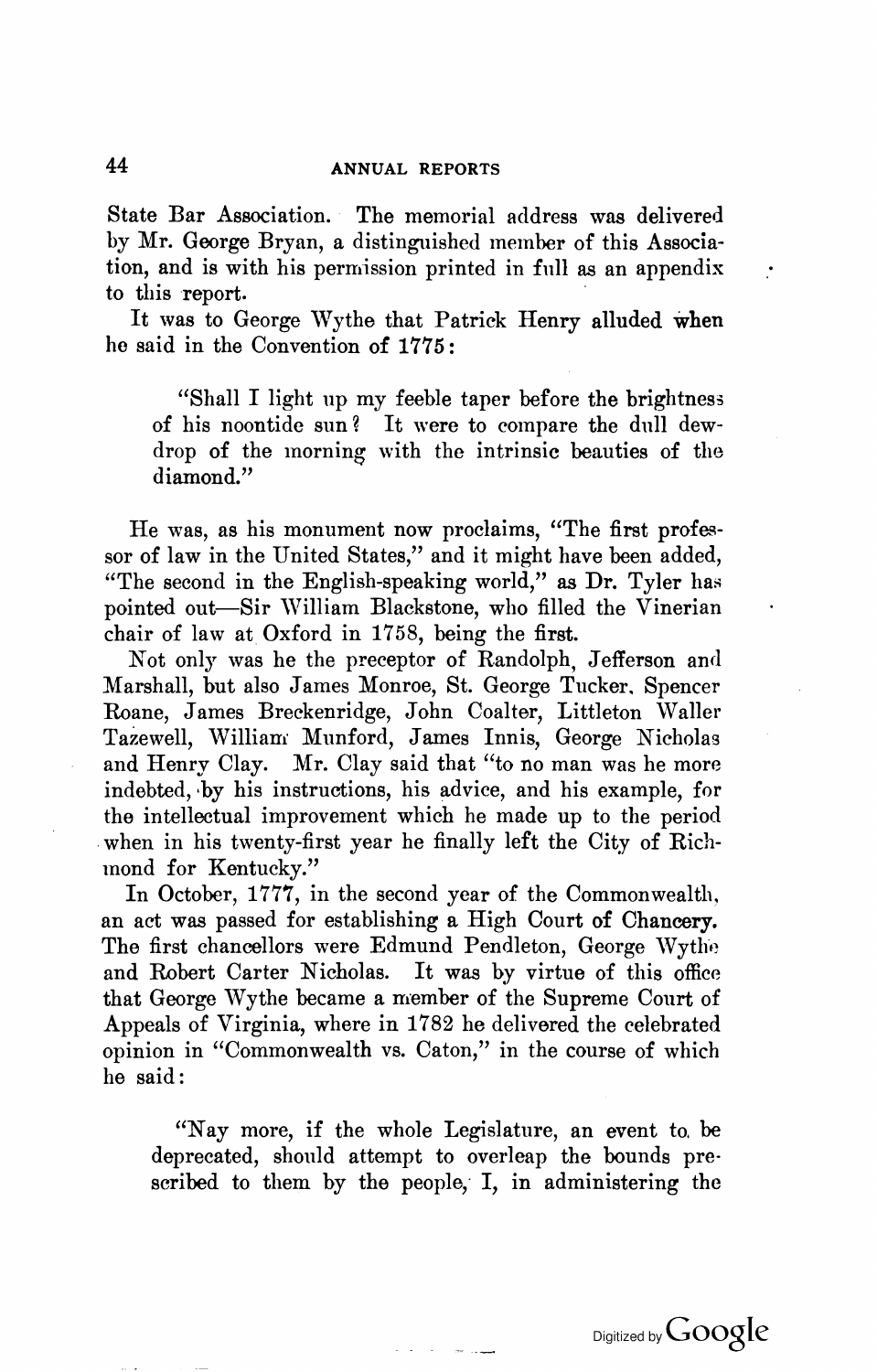#### 44 ANNUAL REPORTS

State Bar Association. The memorial address was delivered by Mr. George Bryan, a distinguished member of this Association, and is with his permission printed in fnll as an appendix to this report.

It was to George Wythe that Patrick Henry alluded when he said in the Convention of 1775:

"Shall I light up my feeble taper before the brightness of his noontide sun? It were to compare the dull dewdrop of the morning with the intrinsic beauties of the diamond."

He was, as his monument now proclaims, "The first professor of law in the United States," and it might have been added, "The second in the English-speaking world," as  $Dr.$  Tyler has pointed out-Sir William Blackstone, who filled the Vinerian chair of law at Oxford in 1758, being the first.

Not only was he the preceptor of Randolph, Jefferson and Marshall, but also James Monroe, St. George Tucker. Spencer Roane, James Breckenridge, John Coalter, Littleton Waller Tazewell, William Munford, James Innis, George Nicholas and Henry Clay. Mr. Clay said that "to no man was he more indebted, ·by his instructions, his advice, and his example, for the intellectual improvement which he made up to the period when in his twenty-first year he finally left the City of Richmond for Kentucky."

In October, 1777, in the second year of the Commonwealth, an act was passed for establishing a High Court of Chancery. The first chancellors were Edmund Pendleton, George Wythe and Robert Carter Nicholas. It was by virtue of this office that George Wythe became a member of the Supreme Court of Appeals of Virginia, where in 1782 he delivered the celebrated opinion in "Commonwealth VB. Caton," in the course of which he said:

"Nay more, if the whole Legislature, an event to. be deprecated, should attempt to overleap the bounds prescribed to them by the people, I, in administering the

 $\sim$  100  $\sim$ 

 $\bullet$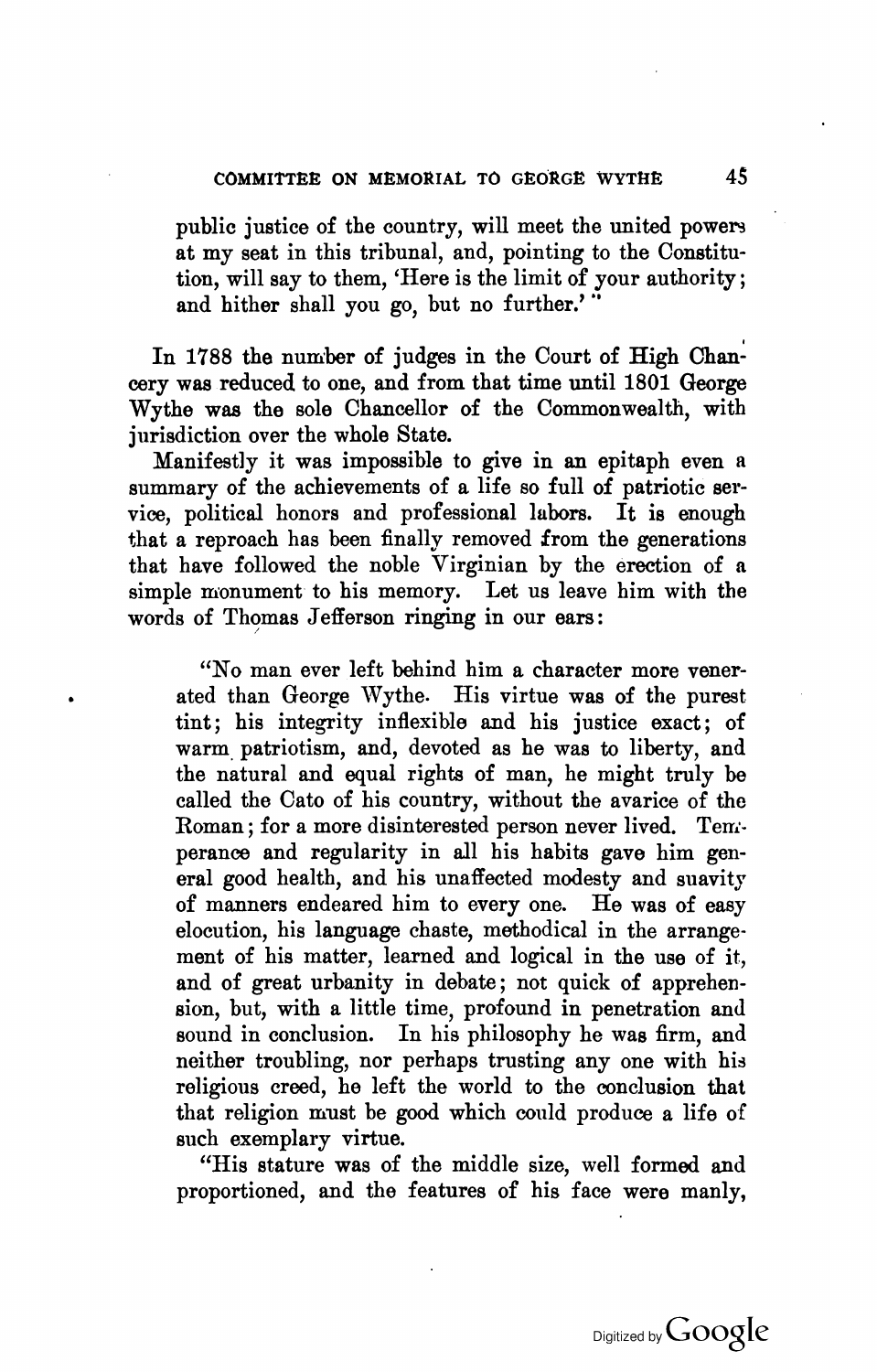public justice of the country, will meet the united powers at my seat in this tribunal, and, pointing to the Constitution, will say to them, 'Here is the limit of your authority ; and hither shall you go, but no further.'"

In 1788 the number of judges in the Court of High Chancery was reduced to one, and from that time until 1801 George Wythe was the sole Chancellor of the Commonwealth, with jurisdiction over the whole State.

Manifestly it was impossible to give in an epitaph even a summary of the achievements of a life so full of patriotic service, political honors and professional labors. It is enough that a reproach has been finally removed from the generations that have followed the noble Virginian by the erection of a simple monument to his memory. Let us leave him with the words of Thomas Jefferson ringing in our ears:

"No man ever left behind him a character more venerated than George Wythe. His virtue was of the purest tint; his integrity inflexible and his justice exact; of warm, patriotism, and, devoted as he was to liberty, and the natural and equal rights of man, he might truly be called the Cato of his country, without the avarice of the Roman; for a more disinterested person never lived. Temperance and regularity in all his habits gave him general good health, and his unaffected modesty and suavity of manners endeared him to everyone. He was of easy elocution, his language chaste, methodical in the arrangement of his matter, learned and logical in the use of it, and of great urbanity in debate; not quick of apprehension, but, with a little time, profound in penetration and sound in conclusion. In his philosophy he was firm, and neither troubling, nor perhaps trusting any one with his religious creed, he left the world to the conclusion that that religion must be good which could produce a life of such exemplary virtue.

"His stature was of the middle size, well formed and proportioned, and the features of his face were manly,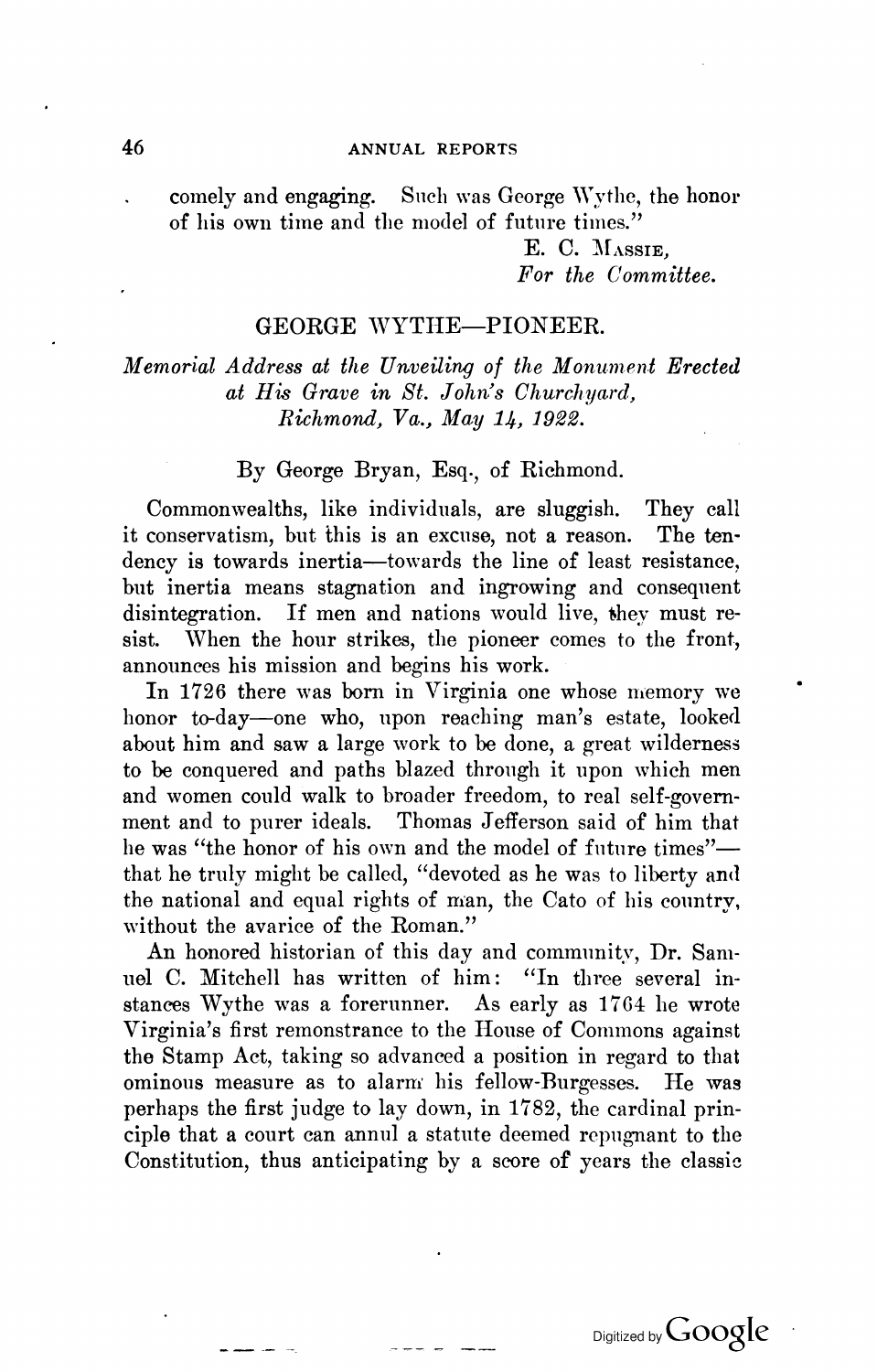#### 46 ANNUAL REPORTS

comely and engaging. Such was George Wythe, the honor of his own time and the model of future times."

> E. C. MASSIE. *For the Committee.*

#### GEORGE WYTHE-PIONEER.

*Memorial Address at the Unveiling of the Monument Erected at His Grave in St. John's Churchyard, Richmond, Va., May 14, 1922.* 

#### By George Bryan, Esq., of Richmond.

Commonwealths, like individuals, are sluggish. They call conservatism, but this is an excuse, not a reason. The tenit conservatism, but this is an excuse, not a reason. dency is towards inertia-towards the line of least resistance, but inertia means stagnation and ingrowing and consequent disintegration. If men and nations would live, they must resist. When the hour strikes, the pioneer comes to the front, announces his mission and begins his work.

In 1726 there was born in Virginia one whose memory we honor to-day-one who, upon reaching man's estate, looked about him and saw a large work to be done, a great wilderness to be conquered and paths blazed through it upon which men and women could walk to broader freedom, to real self-government and to purer ideals. Thomas Jefferson said of him that he was "the honor of his own and the model of future times"that he truly might be called, "devoted as he was to liberty and the national and equal rights of man, the Cato of his country, without the avarice of the Roman."

An honored historian of this day and community, Dr. Samuel C. Mitchell has written of him: "In three several instances Wythe was a forerunner. As early as 1764 he wrote Virginia's first remonstrance to the House of Commons against the Stamp Act, taking so advanced a position in regard to that ominous measure as to alarm his fellow-Burgesses. He was perhaps the first judge to lay down, in 1782, the cardinal principle that a court can annul a statute deemed repngnant to the Constitution, thus anticipating by a score of years the classic

Digitized by Google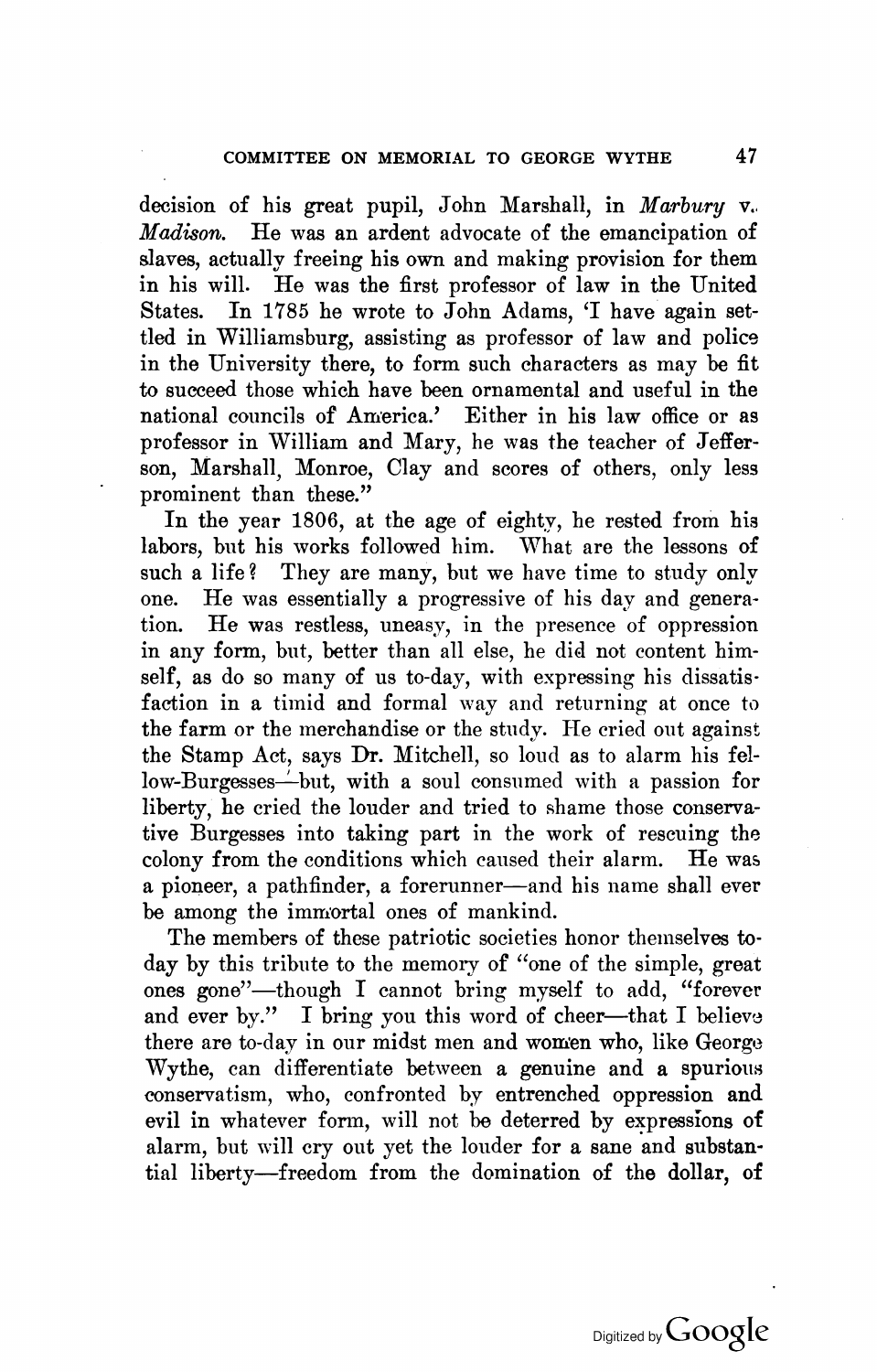decision of his great pupil, John Marshall, in *Marbury* v. *Madison.* He was an ardent advocate of the emancipation of slaves, actually freeing his own and making provision for them in his will. He was the first professor of law in the United In 1785 he wrote to John Adams, 'I have again settled in Williamsburg, assisting as professor of law and police in the University there, to form such characters as may be fit to succeed those which have been ornamental and useful in the national councils of America.' Either in his law office or as professor in William and Mary, he was the teacher of Jefferson, Marshall, Monroe, Clay and scores of others, only less prominent than these."

In the year 1806, at the age of eighty, he rested from his labors, but his works followed him. What are the lessons of such a life? They are many, but we have time to study only one. He was essentially a progressive of his day and generation. He was restless, uneasy, in the presence of oppression in any form, but, better than all else, he did not content himself, as do so many of us to-day, with expressing his dissatis· faction in a timid and formal way and returning at once to the farm or the merchandise or the study. He cried out against the Stamp Act, says Dr. Mitchell, so loud as to alarm his fellow-Burgesses—but, with a soul consumed with a passion for liberty, he cried the louder and tried to shame those conservative Burgesses into taking part in the work of rescuing the colony from the conditions which caused their alarm. He was a pioneer, a pathfinder, a forerunner-and his name shall ever be among the immortal ones of mankind.

The members of these patriotic societies honor themselves to· day by this tribute to the memory of "one of the simple, great ones gone"-though I cannot bring myself to add, "forever and ever by." I bring you this word of cheer----that I believe there are to-day in our midst men and women who, like George Wythe, can differentiate between a genuine and a spurious conservatism, who, confronted by entrenched oppression and evil in whatever form, will not be deterred by expressions of alarm, but will cry out yet the louder for a sane and substantial liberty-freedom from the domination of the dollar, of